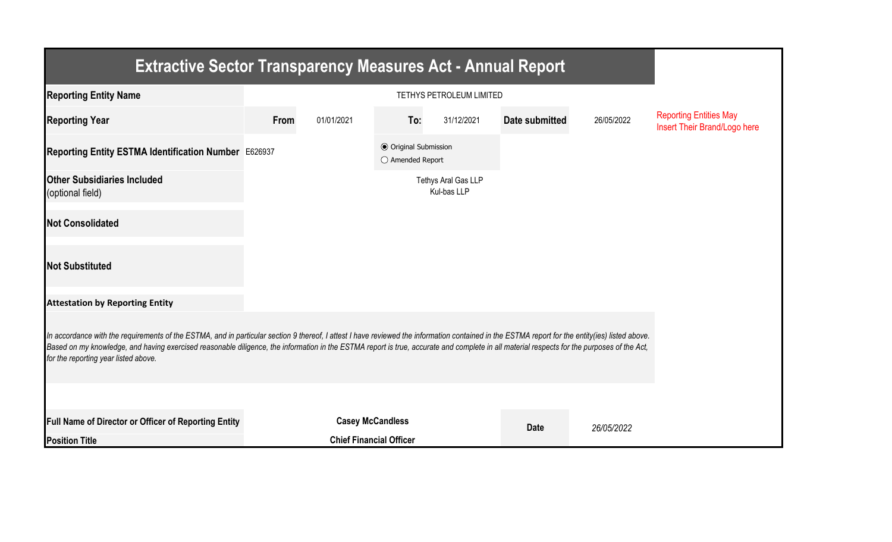| <b>Extractive Sector Transparency Measures Act - Annual Report</b>                                                                                                                                                                                                                                                                                                                                                                    |                         |                                |                                                  |                                    |                |            |                                                               |  |  |  |
|---------------------------------------------------------------------------------------------------------------------------------------------------------------------------------------------------------------------------------------------------------------------------------------------------------------------------------------------------------------------------------------------------------------------------------------|-------------------------|--------------------------------|--------------------------------------------------|------------------------------------|----------------|------------|---------------------------------------------------------------|--|--|--|
| <b>Reporting Entity Name</b>                                                                                                                                                                                                                                                                                                                                                                                                          |                         |                                |                                                  |                                    |                |            |                                                               |  |  |  |
| <b>Reporting Year</b>                                                                                                                                                                                                                                                                                                                                                                                                                 | From                    | 01/01/2021                     | To:                                              | 31/12/2021                         | Date submitted | 26/05/2022 | <b>Reporting Entities May</b><br>Insert Their Brand/Logo here |  |  |  |
| Reporting Entity ESTMA Identification Number E626937                                                                                                                                                                                                                                                                                                                                                                                  |                         |                                | <b>◎</b> Original Submission<br>○ Amended Report |                                    |                |            |                                                               |  |  |  |
| <b>Other Subsidiaries Included</b><br>(optional field)                                                                                                                                                                                                                                                                                                                                                                                |                         |                                |                                                  | Tethys Aral Gas LLP<br>Kul-bas LLP |                |            |                                                               |  |  |  |
| <b>Not Consolidated</b>                                                                                                                                                                                                                                                                                                                                                                                                               |                         |                                |                                                  |                                    |                |            |                                                               |  |  |  |
| <b>Not Substituted</b>                                                                                                                                                                                                                                                                                                                                                                                                                |                         |                                |                                                  |                                    |                |            |                                                               |  |  |  |
| <b>Attestation by Reporting Entity</b>                                                                                                                                                                                                                                                                                                                                                                                                |                         |                                |                                                  |                                    |                |            |                                                               |  |  |  |
| In accordance with the requirements of the ESTMA, and in particular section 9 thereof, I attest I have reviewed the information contained in the ESTMA report for the entity(ies) listed above.<br>Based on my knowledge, and having exercised reasonable diligence, the information in the ESTMA report is true, accurate and complete in all material respects for the purposes of the Act,<br>for the reporting year listed above. |                         |                                |                                                  |                                    |                |            |                                                               |  |  |  |
|                                                                                                                                                                                                                                                                                                                                                                                                                                       |                         |                                |                                                  |                                    |                |            |                                                               |  |  |  |
| <b>Full Name of Director or Officer of Reporting Entity</b>                                                                                                                                                                                                                                                                                                                                                                           | <b>Casey McCandless</b> |                                |                                                  |                                    | <b>Date</b>    | 26/05/2022 |                                                               |  |  |  |
| <b>Position Title</b>                                                                                                                                                                                                                                                                                                                                                                                                                 |                         | <b>Chief Financial Officer</b> |                                                  |                                    |                |            |                                                               |  |  |  |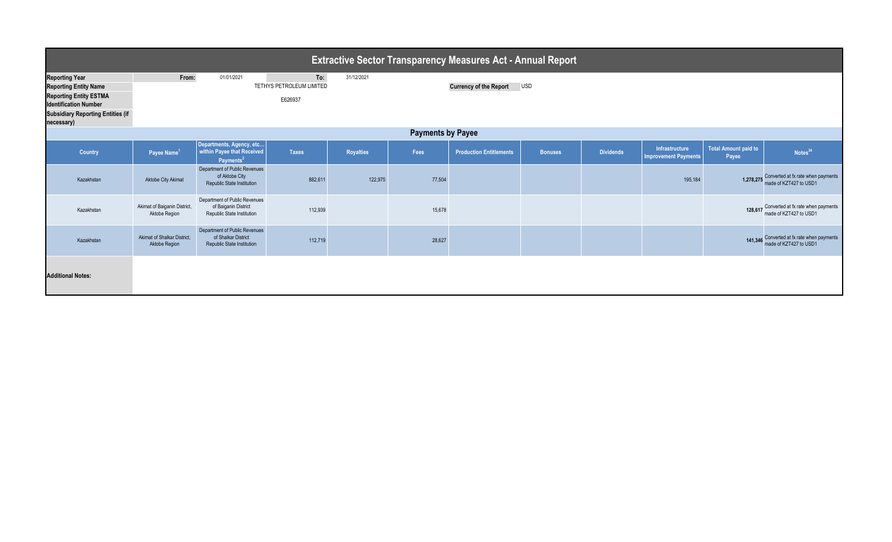| <b>Extractive Sector Transparency Measures Act - Annual Report</b>       |                                               |                                                                                      |                                 |                  |        |                                |                |                  |                                               |                                      |                                                                        |  |
|--------------------------------------------------------------------------|-----------------------------------------------|--------------------------------------------------------------------------------------|---------------------------------|------------------|--------|--------------------------------|----------------|------------------|-----------------------------------------------|--------------------------------------|------------------------------------------------------------------------|--|
| <b>Reporting Year</b><br><b>Reporting Entity Name</b>                    | From:                                         | 01/01/2021                                                                           | To:<br>TETHYS PETROLEUM LIMITED | 31/12/2021       |        | <b>Currency of the Report</b>  | <b>USD</b>     |                  |                                               |                                      |                                                                        |  |
| <b>Reporting Entity ESTMA</b><br>E626937<br><b>Identification Number</b> |                                               |                                                                                      |                                 |                  |        |                                |                |                  |                                               |                                      |                                                                        |  |
| <b>Subsidiary Reporting Entities (if</b><br>necessary)                   |                                               |                                                                                      |                                 |                  |        |                                |                |                  |                                               |                                      |                                                                        |  |
| <b>Payments by Payee</b>                                                 |                                               |                                                                                      |                                 |                  |        |                                |                |                  |                                               |                                      |                                                                        |  |
| Country                                                                  | Payee Name <sup>1</sup>                       | Departments, Agency, etc<br>within Payee that Received<br>Payments <sup>2</sup>      | <b>Taxes</b>                    | <b>Royalties</b> | Fees   | <b>Production Entitlements</b> | <b>Bonuses</b> | <b>Dividends</b> | Infrastructure<br><b>Improvement Payments</b> | <b>Total Amount paid to</b><br>Payee | Notes <sup>34</sup>                                                    |  |
| Kazakhstan                                                               | Aktobe City Akimat                            | Department of Public Revenues<br>of Aktobe City<br><b>Republic State Institution</b> | 882,611                         | 122,975          | 77,504 |                                |                |                  | 195,184                                       |                                      | 1,278,275 Converted at fx rate when payments<br>made of KZT427 to USD1 |  |
| Kazakhstan                                                               | Akimat of Baiganin District,<br>Aktobe Region | Department of Public Revenues<br>of Baiganin District<br>Republic State Institution  | 112,939                         |                  | 15,678 |                                |                |                  |                                               |                                      | 128,617 Converted at fx rate when payments<br>made of KZT427 to USD1   |  |
| Kazakhstan                                                               | Akimat of Shalkar District.<br>Aktobe Region  | Department of Public Revenues<br>of Shalkar District<br>Republic State Institution   | 112,719                         |                  | 28,627 |                                |                |                  |                                               |                                      | 141,346 Converted at fx rate when payments<br>made of KZT427 to USD1   |  |
| <b>Additional Notes:</b>                                                 |                                               |                                                                                      |                                 |                  |        |                                |                |                  |                                               |                                      |                                                                        |  |